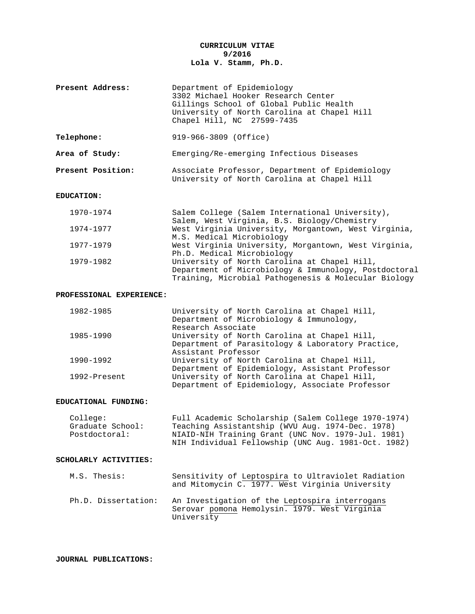# **CURRICULUM VITAE 9/2016 Lola V. Stamm, Ph.D.**

| Present Address: | Department of Epidemiology<br>3302 Michael Hooker Research Center                                                    |
|------------------|----------------------------------------------------------------------------------------------------------------------|
|                  | Gillings School of Global Public Health<br>University of North Carolina at Chapel Hill<br>Chapel Hill, NC 27599-7435 |

**Telephone:** 919-966-3809 (Office)

**Area of Study:** Emerging/Re-emerging Infectious Diseases

| Present Position: | Associate Professor, Department of Epidemiology |  |
|-------------------|-------------------------------------------------|--|
|                   | University of North Carolina at Chapel Hill     |  |

### **EDUCATION:**

| 1970-1974 | Salem College (Salem International University),       |
|-----------|-------------------------------------------------------|
|           | Salem, West Virginia, B.S. Biology/Chemistry          |
| 1974-1977 | West Virginia University, Morgantown, West Virginia,  |
|           | M.S. Medical Microbiology                             |
| 1977-1979 | West Virginia University, Morgantown, West Virginia,  |
|           | Ph.D. Medical Microbiology                            |
| 1979-1982 | University of North Carolina at Chapel Hill,          |
|           | Department of Microbiology & Immunology, Postdoctoral |
|           | Training, Microbial Pathogenesis & Molecular Biology  |

### **PROFESSIONAL EXPERIENCE:**

| 1982-1985    | University of North Carolina at Chapel Hill,      |
|--------------|---------------------------------------------------|
|              | Department of Microbiology & Immunology,          |
|              | Research Associate                                |
| 1985-1990    | University of North Carolina at Chapel Hill,      |
|              | Department of Parasitology & Laboratory Practice, |
|              | Assistant Professor                               |
| 1990-1992    | University of North Carolina at Chapel Hill,      |
|              | Department of Epidemiology, Assistant Professor   |
| 1992-Present | University of North Carolina at Chapel Hill,      |
|              | Department of Epidemiology, Associate Professor   |

### **EDUCATIONAL FUNDING:**

| College:         | Full Academic Scholarship (Salem College 1970-1974) |
|------------------|-----------------------------------------------------|
| Graduate School: | Teaching Assistantship (WVU Aug. 1974-Dec. 1978)    |
| Postdoctoral:    | NIAID-NIH Training Grant (UNC Nov. 1979-Jul. 1981)  |
|                  | NIH Individual Fellowship (UNC Aug. 1981-Oct. 1982) |
|                  |                                                     |

### **SCHOLARLY ACTIVITIES:**

| M.S. Thesis:        | Sensitivity of Leptospira to Ultraviolet Radiation<br>and Mitomycin C. 1977. West Virginia University         |
|---------------------|---------------------------------------------------------------------------------------------------------------|
| Ph.D. Dissertation: | An Investigation of the Leptospira interrogans<br>Serovar pomona Hemolysin. 1979. West Virginia<br>University |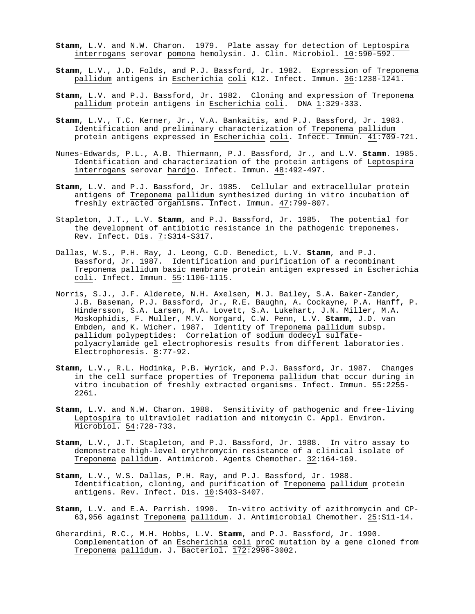- **Stamm**, L.V. and N.W. Charon. 1979. Plate assay for detection of Leptospira interrogans serovar pomona hemolysin. J. Clin. Microbiol. 10:590-592.
- **Stamm**, L.V., J.D. Folds, and P.J. Bassford, Jr. 1982. Expression of Treponema pallidum antigens in Escherichia coli K12. Infect. Immun. 36:1238-1241.
- **Stamm**, L.V. and P.J. Bassford, Jr. 1982. Cloning and expression of Treponema pallidum protein antigens in Escherichia coli. DNA 1:329-333.
- **Stamm**, L.V., T.C. Kerner, Jr., V.A. Bankaitis, and P.J. Bassford, Jr. 1983. Identification and preliminary characterization of Treponema pallidum protein antigens expressed in Escherichia coli. Infect. Immun. 41:709-721.
- Nunes-Edwards, P.L., A.B. Thiermann, P.J. Bassford, Jr., and L.V. **Stamm**. 1985. Identification and characterization of the protein antigens of Leptospira interrogans serovar hardjo. Infect. Immun. 48:492-497.
- **Stamm**, L.V. and P.J. Bassford, Jr. 1985. Cellular and extracellular protein antigens of Treponema pallidum synthesized during in vitro incubation of freshly extracted organisms. Infect. Immun. 47:799-807.
- Stapleton, J.T., L.V. **Stamm**, and P.J. Bassford, Jr. 1985. The potential for the development of antibiotic resistance in the pathogenic treponemes. Rev. Infect. Dis. 7:S314-S317.
- Dallas, W.S., P.H. Ray, J. Leong, C.D. Benedict, L.V. **Stamm**, and P.J. Bassford, Jr. 1987. Identification and purification of a recombinant Treponema pallidum basic membrane protein antigen expressed in Escherichia coli. Infect. Immun. 55:1106-1115.
- Norris, S.J., J.F. Alderete, N.H. Axelsen, M.J. Bailey, S.A. Baker-Zander, J.B. Baseman, P.J. Bassford, Jr., R.E. Baughn, A. Cockayne, P.A. Hanff, P. Hindersson, S.A. Larsen, M.A. Lovett, S.A. Lukehart, J.N. Miller, M.A. Moskophidis, F. Muller, M.V. Norgard, C.W. Penn, L.V. **Stamm**, J.D. van Embden, and K. Wicher. 1987. Identity of Treponema pallidum subsp. pallidum polypeptides: Correlation of sodium dodecyl sulfatepolyacrylamide gel electrophoresis results from different laboratories. Electrophoresis. 8:77-92.
- **Stamm**, L.V., R.L. Hodinka, P.B. Wyrick, and P.J. Bassford, Jr. 1987. Changes in the cell surface properties of Treponema pallidum that occur during in vitro incubation of freshly extracted organisms. Infect. Immun. 55:2255- 2261.
- **Stamm**, L.V. and N.W. Charon. 1988. Sensitivity of pathogenic and free-living Leptospira to ultraviolet radiation and mitomycin C. Appl. Environ. Microbiol. 54:728-733.
- **Stamm**, L.V., J.T. Stapleton, and P.J. Bassford, Jr. 1988. In vitro assay to demonstrate high-level erythromycin resistance of a clinical isolate of Treponema pallidum. Antimicrob. Agents Chemother. 32:164-169.
- **Stamm**, L.V., W.S. Dallas, P.H. Ray, and P.J. Bassford, Jr. 1988. Identification, cloning, and purification of Treponema pallidum protein antigens. Rev. Infect. Dis. 10:S403-S407.
- **Stamm**, L.V. and E.A. Parrish. 1990. In-vitro activity of azithromycin and CP-63,956 against Treponema pallidum. J. Antimicrobial Chemother. 25:S11-14.
- Gherardini, R.C., M.H. Hobbs, L.V. **Stamm**, and P.J. Bassford, Jr. 1990. Complementation of an Escherichia coli proC mutation by a gene cloned from Treponema pallidum. J. Bacteriol. 172:2996-3002.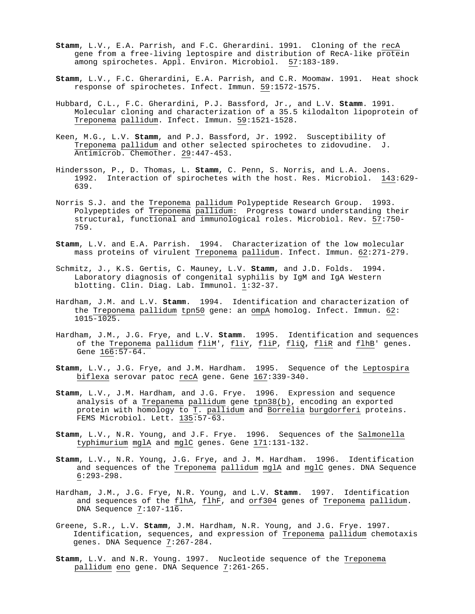- **Stamm**, L.V., E.A. Parrish, and F.C. Gherardini. 1991. Cloning of the recA gene from a free-living leptospire and distribution of RecA-like protein among spirochetes. Appl. Environ. Microbiol. 57:183-189.
- **Stamm**, L.V., F.C. Gherardini, E.A. Parrish, and C.R. Moomaw. 1991. Heat shock response of spirochetes. Infect. Immun. 59:1572-1575.
- Hubbard, C.L., F.C. Gherardini, P.J. Bassford, Jr., and L.V. **Stamm**. 1991. Molecular cloning and characterization of a 35.5 kilodalton lipoprotein of Treponema pallidum. Infect. Immun. 59:1521-1528.
- Keen, M.G., L.V. **Stamm**, and P.J. Bassford, Jr. 1992. Susceptibility of Treponema pallidum and other selected spirochetes to zidovudine. J. Antimicrob. Chemother. 29:447-453.
- Hindersson, P., D. Thomas, L. **Stamm**, C. Penn, S. Norris, and L.A. Joens. 1992. Interaction of spirochetes with the host. Res. Microbiol. 143:629- 639.
- Norris S.J. and the Treponema pallidum Polypeptide Research Group. 1993. Polypeptides of Treponema pallidum: Progress toward understanding their structural, functional and immunological roles. Microbiol. Rev. 57:750- 759.
- **Stamm**, L.V. and E.A. Parrish. 1994. Characterization of the low molecular mass proteins of virulent Treponema pallidum. Infect. Immun. 62:271-279.
- Schmitz, J., K.S. Gertis, C. Mauney, L.V. **Stamm**, and J.D. Folds. 1994. Laboratory diagnosis of congenital syphilis by IgM and IgA Western blotting. Clin. Diag. Lab. Immunol. 1:32-37.
- Hardham, J.M. and L.V. **Stamm**. 1994. Identification and characterization of the Treponema pallidum tpn50 gene: an ompA homolog. Infect. Immun. 62: 1015-1025.
- Hardham, J.M., J.G. Frye, and L.V. **Stamm**. 1995. Identification and sequences of the <u>Treponema pallidum</u> <u>fliM</u>', <u>fliY, fliP, fliQ, fliR</u> and <u>flhB</u>' genes. Gene 166:57-64.
- **Stamm**, L.V., J.G. Frye, and J.M. Hardham. 1995. Sequence of the Leptospira biflexa serovar patoc recA gene. Gene 167:339-340.
- **Stamm**, L.V., J.M. Hardham, and J.G. Frye. 1996. Expression and sequence analysis of a Trepanema pallidum gene tpn38(b), encoding an exported protein with homology to T. pallidum and Borrelia burgdorferi proteins. FEMS Microbiol. Lett. 135:57-63.
- **Stamm**, L.V., N.R. Young, and J.F. Frye. 1996. Sequences of the Salmonella typhimurium mglA and mglC genes. Gene 171:131-132.
- **Stamm**, L.V., N.R. Young, J.G. Frye, and J. M. Hardham. 1996. Identification and sequences of the Treponema pallidum mglA and mglC genes. DNA Sequence 6:293-298.
- Hardham, J.M., J.G. Frye, N.R. Young, and L.V. **Stamm**. 1997. Identification and sequences of the flhA, flhF, and orf304 genes of Treponema pallidum. DNA Sequence 7:107-116.
- Greene, S.R., L.V. **Stamm**, J.M. Hardham, N.R. Young, and J.G. Frye. 1997. Identification, sequences, and expression of Treponema pallidum chemotaxis genes. DNA Sequence 7:267-284.
- **Stamm**, L.V. and N.R. Young. 1997. Nucleotide sequence of the Treponema pallidum eno gene. DNA Sequence 7:261-265.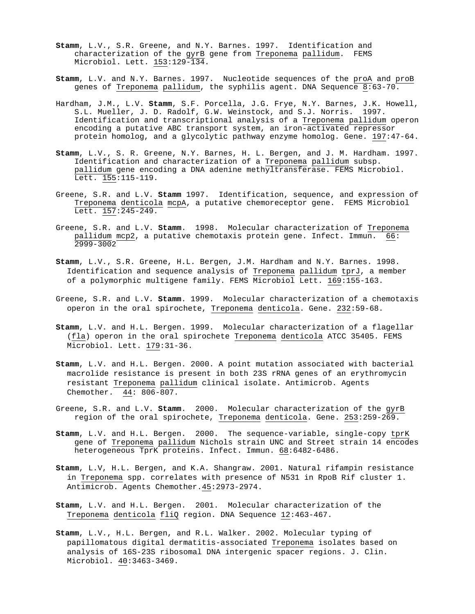- **Stamm**, L.V., S.R. Greene, and N.Y. Barnes. 1997. Identification and characterization of the gyrB gene from Treponema pallidum. FEMS Microbiol. Lett. 153:129-134.
- **Stamm**, L.V. and N.Y. Barnes. 1997. Nucleotide sequences of the proA and proB genes of Treponema pallidum, the syphilis agent. DNA Sequence 8:63-70.
- Hardham, J.M., L.V. **Stamm**, S.F. Porcella, J.G. Frye, N.Y. Barnes, J.K. Howell, S.L. Mueller, J. D. Radolf, G.W. Weinstock, and S.J. Norris. 1997. Identification and transcriptional analysis of a Treponema pallidum operon encoding a putative ABC transport system, an iron-activated repressor protein homolog, and a glycolytic pathway enzyme homolog. Gene. 197:47-64.
- **Stamm**, L.V., S. R. Greene, N.Y. Barnes, H. L. Bergen, and J. M. Hardham. 1997. Identification and characterization of a Treponema pallidum subsp. pallidum gene encoding a DNA adenine methyltransferase. FEMS Microbiol. Lett. 155:115-119.
- Greene, S.R. and L.V. **Stamm** 1997. Identification, sequence, and expression of Treponema denticola mcpA, a putative chemoreceptor gene. FEMS Microbiol Lett. 157: 245-249.
- Greene, S.R. and L.V. **Stamm**. 1998. Molecular characterization of Treponema pallidum mcp2, a putative chemotaxis protein gene. Infect. Immun. 66: 2999-3002
- **Stamm**, L.V., S.R. Greene, H.L. Bergen, J.M. Hardham and N.Y. Barnes. 1998. Identification and sequence analysis of Treponema pallidum tprJ, a member of a polymorphic multigene family. FEMS Microbiol Lett. 169:155-163.
- Greene, S.R. and L.V. **Stamm**. 1999. Molecular characterization of a chemotaxis operon in the oral spirochete, Treponema denticola. Gene. 232:59-68.
- **Stamm**, L.V. and H.L. Bergen. 1999. Molecular characterization of a flagellar (fla) operon in the oral spirochete Treponema denticola ATCC 35405. FEMS Microbiol. Lett. 179:31-36.
- **Stamm**, L.V. and H.L. Bergen. 2000. A point mutation associated with bacterial macrolide resistance is present in both 23S rRNA genes of an erythromycin resistant Treponema pallidum clinical isolate. Antimicrob. Agents Chemother. 44: 806-807.
- Greene, S.R. and L.V. **Stamm**. 2000. Molecular characterization of the gyrB region of the oral spirochete, Treponema denticola. Gene. 253:259-269.
- **Stamm**, L.V. and H.L. Bergen. 2000. The sequence-variable, single-copy tprK gene of Treponema pallidum Nichols strain UNC and Street strain 14 encodes heterogeneous TprK proteins. Infect. Immun. 68:6482-6486.
- **Stamm**, L.V, H.L. Bergen, and K.A. Shangraw. 2001. Natural rifampin resistance in Treponema spp. correlates with presence of N531 in RpoB Rif cluster 1. Antimicrob. Agents Chemother.45:2973-2974.
- **Stamm**, L.V. and H.L. Bergen. 2001. Molecular characterization of the Treponema denticola fliQ region. DNA Sequence 12:463-467.
- **Stamm**, L.V., H.L. Bergen, and R.L. Walker. 2002. Molecular typing of papillomatous digital dermatitis-associated Treponema isolates based on analysis of 16S-23S ribosomal DNA intergenic spacer regions. J. Clin. Microbiol. 40:3463-3469.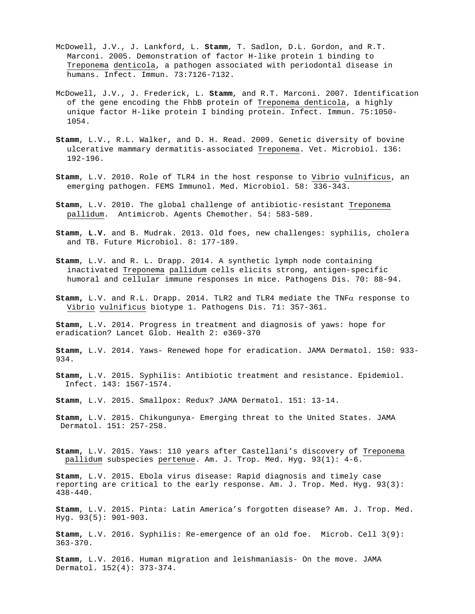- McDowell, J.V., J. Lankford, L. **Stamm**, T. Sadlon, D.L. Gordon, and R.T. Marconi. 2005. Demonstration of factor H-like protein 1 binding to Treponema denticola, a pathogen associated with periodontal disease in humans. Infect. Immun. 73:7126-7132.
- McDowell, J.V., J. Frederick, L. **Stamm**, and R.T. Marconi. 2007. Identification of the gene encoding the FhbB protein of Treponema denticola, a highly unique factor H-like protein I binding protein. Infect. Immun. 75:1050- 1054.
- **Stamm**, L.V., R.L. Walker, and D. H. Read. 2009. Genetic diversity of bovine ulcerative mammary dermatitis-associated Treponema. Vet. Microbiol. 136: 192-196.
- **Stamm**, L.V. 2010. Role of TLR4 in the host response to Vibrio vulnificus, an emerging pathogen. FEMS Immunol. Med. Microbiol. 58: 336-343.
- **Stamm**, L.V. 2010. The global challenge of antibiotic-resistant Treponema pallidum. Antimicrob. Agents Chemother. 54: 583-589.
- **Stamm**, **L.V.** and B. Mudrak. 2013. Old foes, new challenges: syphilis, cholera and TB. Future Microbiol. 8: 177-189.
- **Stamm**, L.V. and R. L. Drapp. 2014. A synthetic lymph node containing inactivated Treponema pallidum cells elicits strong, antigen-specific humoral and cellular immune responses in mice. Pathogens Dis. 70: 88-94.
- **Stamm,** L.V. and R.L. Drapp. 2014. TLR2 and TLR4 mediate the TNFα response to Vibrio vulnificus biotype 1. Pathogens Dis. 71: 357-361.

**Stamm,** L.V**.** 2014. Progress in treatment and diagnosis of yaws: hope for eradication? Lancet Glob. Health 2: e369-370

**Stamm,** L.V. 2014. Yaws- Renewed hope for eradication. JAMA Dermatol. 150: 933- 934.

**Stamm,** L.V. 2015. Syphilis: Antibiotic treatment and resistance. Epidemiol. Infect. 143: 1567-1574.

**Stamm**, L.V. 2015. Smallpox: Redux? JAMA Dermatol. 151: 13-14.

- **Stamm,** L.V. 2015. Chikungunya- Emerging threat to the United States. JAMA Dermatol. 151: 257-258.
- **Stamm,** L.V. 2015. Yaws: 110 years after Castellani's discovery of Treponema pallidum subspecies pertenue. Am. J. Trop. Med. Hyg. 93(1): 4-6.

**Stamm**, L.V. 2015. Ebola virus disease: Rapid diagnosis and timely case reporting are critical to the early response. Am. J. Trop. Med. Hyg. 93(3): 438-440.

**Stamm**, L.V. 2015. Pinta: Latin America's forgotten disease? Am. J. Trop. Med. Hyg. 93(5): 901-903.

**Stamm,** L.V. 2016. Syphilis: Re-emergence of an old foe. Microb. Cell 3(9): 363-370.

**Stamm**, L.V. 2016. Human migration and leishmaniasis- On the move. JAMA Dermatol. 152(4): 373-374.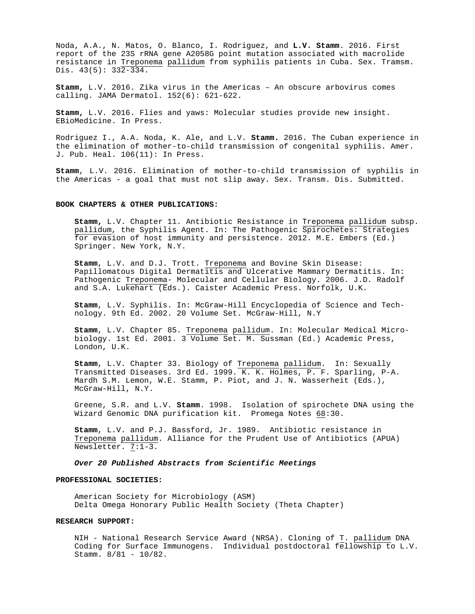Noda, A.A., N. Matos, O. Blanco, I. Rodriguez, and **L.V. Stamm**. 2016. First report of the 23S rRNA gene A2058G point mutation associated with macrolide resistance in Treponema pallidum from syphilis patients in Cuba. Sex. Tramsm. Dis.  $43(5): 332-334.$ 

**Stamm,** L.V. 2016. Zika virus in the Americas – An obscure arbovirus comes calling. JAMA Dermatol. 152(6): 621-622.

**Stamm,** L.V. 2016. Flies and yaws: Molecular studies provide new insight. EBioMedicine. In Press.

Rodriguez I., A.A. Noda, K. Ale, and L.V. **Stamm.** 2016. The Cuban experience in the elimination of mother-to-child transmission of congenital syphilis. Amer. J. Pub. Heal. 106(11): In Press.

**Stamm**, L.V. 2016. Elimination of mother-to-child transmission of syphilis in the Americas - a goal that must not slip away. Sex. Transm. Dis. Submitted.

### **BOOK CHAPTERS & OTHER PUBLICATIONS:**

**Stamm,** L.V. Chapter 11. Antibiotic Resistance in Treponema pallidum subsp. pallidum, the Syphilis Agent. In: The Pathogenic Spirochetes: Strategies for evasion of host immunity and persistence. 2012. M.E. Embers (Ed.) Springer. New York, N.Y.

**Stamm**, L.V. and D.J. Trott. Treponema and Bovine Skin Disease: Papillomatous Digital Dermatitis and Ulcerative Mammary Dermatitis. In: Pathogenic Treponema- Molecular and Cellular Biology. 2006. J.D. Radolf and S.A. Lukehart (Eds.). Caister Academic Press. Norfolk, U.K.

**Stamm**, L.V. Syphilis. In: McGraw-Hill Encyclopedia of Science and Technology. 9th Ed. 2002. 20 Volume Set. McGraw-Hill, N.Y

**Stamm**, L.V. Chapter 85. Treponema pallidum. In: Molecular Medical Microbiology. 1st Ed. 2001. 3 Volume Set. M. Sussman (Ed.) Academic Press, London, U.K.

**Stamm**, L.V. Chapter 33. Biology of Treponema pallidum. In: Sexually Transmitted Diseases. 3rd Ed. 1999. K. K. Holmes, P. F. Sparling, P-A. Mardh S.M. Lemon, W.E. Stamm, P. Piot, and J. N. Wasserheit (Eds.), McGraw-Hill, N.Y.

Greene, S.R. and L.V. **Stamm**. 1998. Isolation of spirochete DNA using the Wizard Genomic DNA purification kit. Promega Notes 68:30.

**Stamm**, L.V. and P.J. Bassford, Jr. 1989. Antibiotic resistance in Treponema pallidum. Alliance for the Prudent Use of Antibiotics (APUA) Newsletter. 7:1-3.

### *Over 20 Published Abstracts from Scientific Meetings*

#### **PROFESSIONAL SOCIETIES:**

American Society for Microbiology (ASM) Delta Omega Honorary Public Health Society (Theta Chapter)

#### **RESEARCH SUPPORT:**

NIH - National Research Service Award (NRSA). Cloning of T. pallidum DNA Coding for Surface Immunogens. Individual postdoctoral fellowship to L.V. Stamm. 8/81 - 10/82.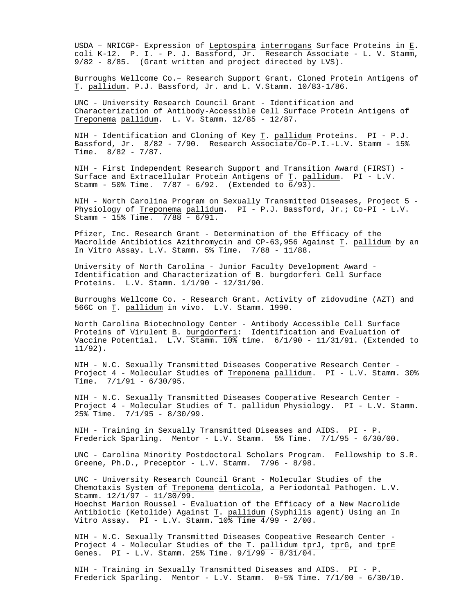USDA – NRICGP- Expression of Leptospira interrogans Surface Proteins in E. <u>coli</u> K-12. P. I. – P. J. Bassford, Jr. Research Associate – L. V. Stamm, 9/82 - 8/85. (Grant written and project directed by LVS).

Burroughs Wellcome Co.– Research Support Grant. Cloned Protein Antigens of T. pallidum. P.J. Bassford, Jr. and L. V.Stamm. 10/83-1/86.

UNC - University Research Council Grant - Identification and Characterization of Antibody-Accessible Cell Surface Protein Antigens of Treponema pallidum. L. V. Stamm. 12/85 - 12/87.

NIH - Identification and Cloning of Key T. pallidum Proteins. PI - P.J. Bassford, Jr. 8/82 - 7/90. Research Associate/Co-P.I.-L.V. Stamm - 15% Time. 8/82 - 7/87.

NIH - First Independent Research Support and Transition Award (FIRST) - Surface and Extracellular Protein Antigens of T. pallidum. PI - L.V. Stamm - 50% Time. 7/87 - 6/92. (Extended to 6/93).

NIH - North Carolina Program on Sexually Transmitted Diseases, Project 5 - Physiology of Treponema pallidum. PI - P.J. Bassford, Jr.; Co-PI - L.V. Stamm -  $15\%$  Time.  $7/88$  -  $6/91$ .

Pfizer, Inc. Research Grant - Determination of the Efficacy of the Macrolide Antibiotics Azithromycin and CP-63,956 Against T. pallidum by an In Vitro Assay. L.V. Stamm. 5% Time. 7/88 - 11/88.

University of North Carolina - Junior Faculty Development Award - Identification and Characterization of B. burgdorferi Cell Surface Proteins. L.V. Stamm. 1/1/90 - 12/31/90.

Burroughs Wellcome Co. - Research Grant. Activity of zidovudine (AZT) and 566C on T. pallidum in vivo. L.V. Stamm. 1990.

North Carolina Biotechnology Center - Antibody Accessible Cell Surface Proteins of Virulent <u>B</u>. <u>burgdorferi</u>: Identification and Evaluation of Vaccine Potential. L.V. Stamm. 10% time. 6/1/90 - 11/31/91. (Extended to 11/92).

NIH - N.C. Sexually Transmitted Diseases Cooperative Research Center - Project 4 - Molecular Studies of Treponema pallidum. PI - L.V. Stamm. 30% Time. 7/1/91 - 6/30/95.

NIH - N.C. Sexually Transmitted Diseases Cooperative Research Center - Project 4 - Molecular Studies of T. pallidum Physiology. PI - L.V. Stamm. 25% Time. 7/1/95 - 8/30/99.

NIH - Training in Sexually Transmitted Diseases and AIDS. PI - P. Frederick Sparling. Mentor - L.V. Stamm. 5% Time. 7/1/95 - 6/30/00.

UNC - Carolina Minority Postdoctoral Scholars Program. Fellowship to S.R. Greene, Ph.D., Preceptor - L.V. Stamm.  $7/96 - 8/98$ .

UNC - University Research Council Grant - Molecular Studies of the Chemotaxis System of Treponema denticola, a Periodontal Pathogen. L.V. Stamm.  $12/1/97 - 11/30/99$ . Hoechst Marion Roussel - Evaluation of the Efficacy of a New Macrolide Antibiotic (Ketolide) Against T. pallidum (Syphilis agent) Using an In Vitro Assay. PI - L.V. Stamm.  $10\frac{2}{3}$  Time  $4/99$  - 2/00.

NIH - N.C. Sexually Transmitted Diseases Coopeative Research Center - Project  $4$  - Molecular Studies of the  $\underline{r}$ .  $\underline{pallidum}$  tprJ, tprG, and tprE Genes. PI - L.V. Stamm. 25% Time.  $9/\overline{1}/99 - 8/31/\overline{04}$ .

NIH - Training in Sexually Transmitted Diseases and AIDS. PI - P. Frederick Sparling. Mentor - L.V. Stamm. 0-5% Time. 7/1/00 - 6/30/10.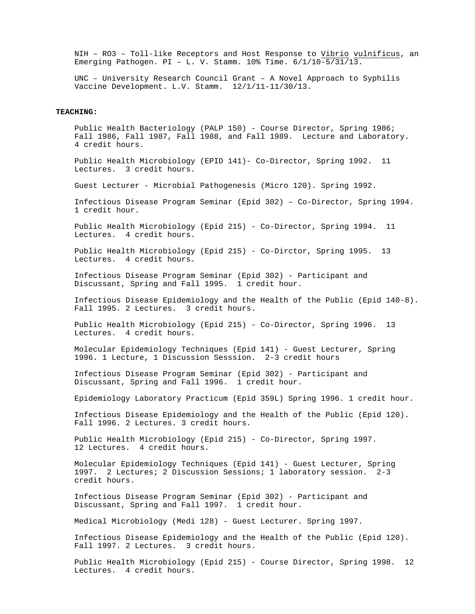NIH – RO3 – Toll-like Receptors and Host Response to Vibrio vulnificus, an Emerging Pathogen. PI – L. V. Stamm. 10% Time. 6/1/10-5/31/13.

UNC – University Research Council Grant – A Novel Approach to Syphilis Vaccine Development. L.V. Stamm. 12/1/11-11/30/13.

### **TEACHING:**

Public Health Bacteriology (PALP 150) - Course Director, Spring 1986; Fall 1986, Fall 1987, Fall 1988, and Fall 1989. Lecture and Laboratory. 4 credit hours.

Public Health Microbiology (EPID 141)- Co-Director, Spring 1992. 11 Lectures. 3 credit hours.

Guest Lecturer - Microbial Pathogenesis (Micro 120). Spring 1992.

Infectious Disease Program Seminar (Epid 302) – Co-Director, Spring 1994. 1 credit hour.

Public Health Microbiology (Epid 215) - Co-Director, Spring 1994. 11 Lectures. 4 credit hours.

Public Health Microbiology (Epid 215) - Co-Dirctor, Spring 1995. 13 Lectures. 4 credit hours.

Infectious Disease Program Seminar (Epid 302) - Participant and Discussant, Spring and Fall 1995. 1 credit hour.

Infectious Disease Epidemiology and the Health of the Public (Epid 140-8). Fall 1995. 2 Lectures. 3 credit hours.

Public Health Microbiology (Epid 215) - Co-Director, Spring 1996. 13 Lectures. 4 credit hours.

Molecular Epidemiology Techniques (Epid 141) - Guest Lecturer, Spring 1996. 1 Lecture, 1 Discussion Sesssion. 2-3 credit hours

Infectious Disease Program Seminar (Epid 302) - Participant and Discussant, Spring and Fall 1996. 1 credit hour.

Epidemiology Laboratory Practicum (Epid 359L) Spring 1996. 1 credit hour.

Infectious Disease Epidemiology and the Health of the Public (Epid 120). Fall 1996. 2 Lectures. 3 credit hours.

Public Health Microbiology (Epid 215) - Co-Director, Spring 1997. 12 Lectures. 4 credit hours.

Molecular Epidemiology Techniques (Epid 141) - Guest Lecturer, Spring 1997. 2 Lectures; 2 Discussion Sessions; 1 laboratory session. 2-3 credit hours.

Infectious Disease Program Seminar (Epid 302) - Participant and Discussant, Spring and Fall 1997. 1 credit hour.

Medical Microbiology (Medi 128) - Guest Lecturer. Spring 1997.

Infectious Disease Epidemiology and the Health of the Public (Epid 120). Fall 1997. 2 Lectures. 3 credit hours.

Public Health Microbiology (Epid 215) - Course Director, Spring 1998. 12 Lectures. 4 credit hours.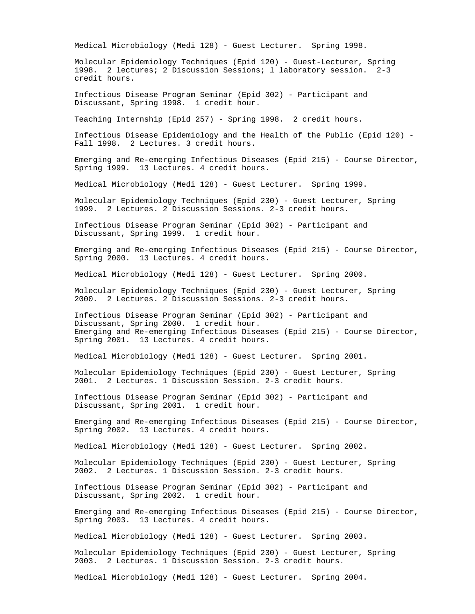Medical Microbiology (Medi 128) - Guest Lecturer. Spring 1998.

Molecular Epidemiology Techniques (Epid 120) - Guest-Lecturer, Spring 1998. 2 lectures; 2 Discussion Sessions; l laboratory session. 2-3 credit hours.

Infectious Disease Program Seminar (Epid 302) - Participant and Discussant, Spring 1998. 1 credit hour.

Teaching Internship (Epid 257) - Spring 1998. 2 credit hours.

Infectious Disease Epidemiology and the Health of the Public (Epid 120) - Fall 1998. 2 Lectures. 3 credit hours.

Emerging and Re-emerging Infectious Diseases (Epid 215) - Course Director, Spring 1999. 13 Lectures. 4 credit hours.

Medical Microbiology (Medi 128) - Guest Lecturer. Spring 1999.

Molecular Epidemiology Techniques (Epid 230) - Guest Lecturer, Spring 1999. 2 Lectures. 2 Discussion Sessions. 2-3 credit hours.

Infectious Disease Program Seminar (Epid 302) - Participant and Discussant, Spring 1999. 1 credit hour.

Emerging and Re-emerging Infectious Diseases (Epid 215) - Course Director, Spring 2000. 13 Lectures. 4 credit hours.

Medical Microbiology (Medi 128) - Guest Lecturer. Spring 2000.

Molecular Epidemiology Techniques (Epid 230) - Guest Lecturer, Spring 2000. 2 Lectures. 2 Discussion Sessions. 2-3 credit hours.

Infectious Disease Program Seminar (Epid 302) - Participant and Discussant, Spring 2000. 1 credit hour. Emerging and Re-emerging Infectious Diseases (Epid 215) - Course Director, Spring 2001. 13 Lectures. 4 credit hours.

Medical Microbiology (Medi 128) - Guest Lecturer. Spring 2001.

Molecular Epidemiology Techniques (Epid 230) - Guest Lecturer, Spring 2001. 2 Lectures. 1 Discussion Session. 2-3 credit hours.

Infectious Disease Program Seminar (Epid 302) - Participant and Discussant, Spring 2001. 1 credit hour.

Emerging and Re-emerging Infectious Diseases (Epid 215) - Course Director, Spring 2002. 13 Lectures. 4 credit hours.

Medical Microbiology (Medi 128) - Guest Lecturer. Spring 2002.

Molecular Epidemiology Techniques (Epid 230) - Guest Lecturer, Spring 2002. 2 Lectures. 1 Discussion Session. 2-3 credit hours.

Infectious Disease Program Seminar (Epid 302) - Participant and Discussant, Spring 2002. 1 credit hour.

Emerging and Re-emerging Infectious Diseases (Epid 215) - Course Director, Spring 2003. 13 Lectures. 4 credit hours.

Medical Microbiology (Medi 128) - Guest Lecturer. Spring 2003.

Molecular Epidemiology Techniques (Epid 230) - Guest Lecturer, Spring 2003. 2 Lectures. 1 Discussion Session. 2-3 credit hours.

Medical Microbiology (Medi 128) - Guest Lecturer. Spring 2004.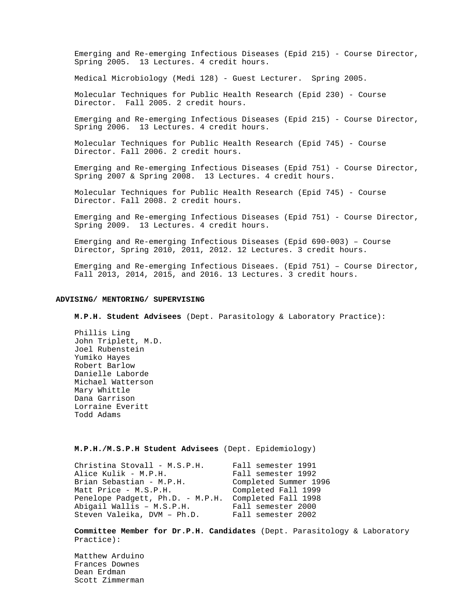Emerging and Re-emerging Infectious Diseases (Epid 215) - Course Director, Spring 2005. 13 Lectures. 4 credit hours.

Medical Microbiology (Medi 128) - Guest Lecturer. Spring 2005.

Molecular Techniques for Public Health Research (Epid 230) - Course Director. Fall 2005. 2 credit hours.

Emerging and Re-emerging Infectious Diseases (Epid 215) - Course Director, Spring 2006. 13 Lectures. 4 credit hours.

Molecular Techniques for Public Health Research (Epid 745) - Course Director. Fall 2006. 2 credit hours.

Emerging and Re-emerging Infectious Diseases (Epid 751) - Course Director, Spring 2007 & Spring 2008. 13 Lectures. 4 credit hours.

Molecular Techniques for Public Health Research (Epid 745) - Course Director. Fall 2008. 2 credit hours.

Emerging and Re-emerging Infectious Diseases (Epid 751) - Course Director, Spring 2009. 13 Lectures. 4 credit hours.

Emerging and Re-emerging Infectious Diseases (Epid 690-003) – Course Director, Spring 2010, 2011, 2012. 12 Lectures. 3 credit hours.

Emerging and Re-emerging Infectious Diseaes. (Epid 751) – Course Director, Fall 2013, 2014, 2015, and 2016. 13 Lectures. 3 credit hours.

### **ADVISING/ MENTORING/ SUPERVISING**

**M.P.H. Student Advisees** (Dept. Parasitology & Laboratory Practice):

Phillis Ling John Triplett, M.D. Joel Rubenstein Yumiko Hayes Robert Barlow Danielle Laborde Michael Watterson Mary Whittle Dana Garrison Lorraine Everitt Todd Adams

**M.P.H./M.S.P.H Student Advisees** (Dept. Epidemiology)

| Christina Stovall - M.S.P.H.     | Fall semester 1991    |
|----------------------------------|-----------------------|
| Alice Kulik - M.P.H.             | Fall semester 1992    |
| Brian Sebastian - M.P.H.         | Completed Summer 1996 |
| Matt Price - M.S.P.H.            | Completed Fall 1999   |
| Penelope Padgett, Ph.D. - M.P.H. | Completed Fall 1998   |
| Abigail Wallis - M.S.P.H.        | Fall semester 2000    |
| Steven Valeika, DVM - Ph.D.      | Fall semester 2002    |
|                                  |                       |

**Committee Member for Dr.P.H. Candidates** (Dept. Parasitology & Laboratory Practice):

Matthew Arduino Frances Downes Dean Erdman Scott Zimmerman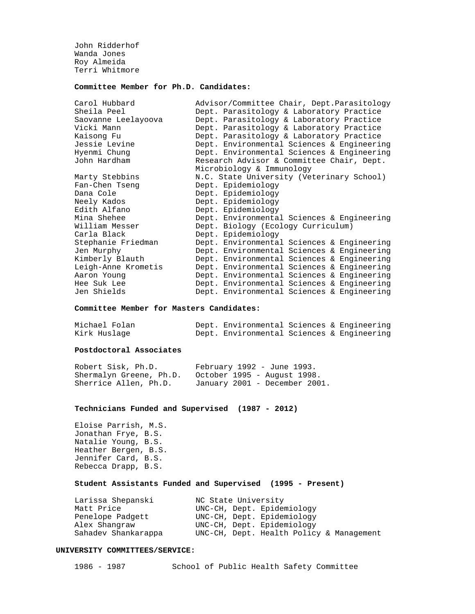John Ridderhof Wanda Jones Roy Almeida Terri Whitmore

# **Committee Member for Ph.D. Candidates:**

| Advisor/Committee Chair, Dept.Parasitology |  |  |  |  |
|--------------------------------------------|--|--|--|--|
| Dept. Parasitology & Laboratory Practice   |  |  |  |  |
| Dept. Parasitology & Laboratory Practice   |  |  |  |  |
| Dept. Parasitology & Laboratory Practice   |  |  |  |  |
| Dept. Parasitology & Laboratory Practice   |  |  |  |  |
| Dept. Environmental Sciences & Engineering |  |  |  |  |
| Dept. Environmental Sciences & Engineering |  |  |  |  |
| Research Advisor & Committee Chair, Dept.  |  |  |  |  |
| Microbiology & Immunology                  |  |  |  |  |
| N.C. State University (Veterinary School)  |  |  |  |  |
| Dept. Epidemiology                         |  |  |  |  |
| Dept. Epidemiology                         |  |  |  |  |
| Dept. Epidemiology                         |  |  |  |  |
| Dept. Epidemiology                         |  |  |  |  |
| Dept. Environmental Sciences & Engineering |  |  |  |  |
| Dept. Biology (Ecology Curriculum)         |  |  |  |  |
| Dept. Epidemiology                         |  |  |  |  |
| Dept. Environmental Sciences & Engineering |  |  |  |  |
| Dept. Environmental Sciences & Engineering |  |  |  |  |
| Dept. Environmental Sciences & Engineering |  |  |  |  |
| Dept. Environmental Sciences & Engineering |  |  |  |  |
| Dept. Environmental Sciences & Engineering |  |  |  |  |
| Dept. Environmental Sciences & Engineering |  |  |  |  |
| Dept. Environmental Sciences & Engineering |  |  |  |  |
|                                            |  |  |  |  |

### **Committee Member for Masters Candidates:**

| Michael Folan | Dept. Environmental Sciences & Engineering |  |  |
|---------------|--------------------------------------------|--|--|
| Kirk Huslage  | Dept. Environmental Sciences & Engineering |  |  |

## **Postdoctoral Associates**

| Robert Sisk, Ph.D.      | February 1992 - June 1993.    |
|-------------------------|-------------------------------|
| Shermalyn Greene, Ph.D. | October 1995 - August 1998.   |
| Sherrice Allen, Ph.D.   | January 2001 - December 2001. |

### **Technicians Funded and Supervised (1987 - 2012)**

Eloise Parrish, M.S. Jonathan Frye, B.S. Natalie Young, B.S. Heather Bergen, B.S. Jennifer Card, B.S. Rebecca Drapp, B.S.

### **Student Assistants Funded and Supervised (1995 - Present)**

| Larissa Shepanski   | NC State University        |                                          |
|---------------------|----------------------------|------------------------------------------|
| Matt Price          | UNC-CH, Dept. Epidemiology |                                          |
| Penelope Padgett    | UNC-CH, Dept. Epidemiology |                                          |
| Alex Shangraw       | UNC-CH, Dept. Epidemiology |                                          |
| Sahadev Shankarappa |                            | UNC-CH, Dept. Health Policy & Management |

### **UNIVERSITY COMMITTEES/SERVICE:**

1986 - 1987 School of Public Health Safety Committee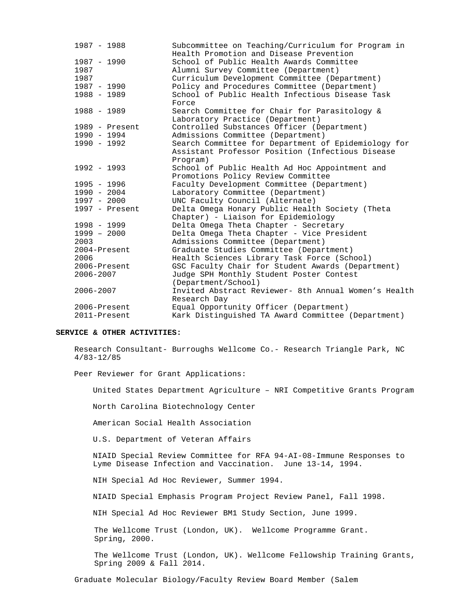| $1987 - 1988$    | Subcommittee on Teaching/Curriculum for Program in<br>Health Promotion and Disease Prevention |
|------------------|-----------------------------------------------------------------------------------------------|
| $1987 - 1990$    | School of Public Health Awards Committee                                                      |
| 1987             | Alumni Survey Committee (Department)                                                          |
| 1987             | Curriculum Development Committee (Department)                                                 |
| 1987 - 1990      | Policy and Procedures Committee (Department)                                                  |
| $1988 - 1989$    | School of Public Health Infectious Disease Task                                               |
|                  | Force                                                                                         |
| $1988 - 1989$    | Search Committee for Chair for Parasitology &                                                 |
|                  | Laboratory Practice (Department)                                                              |
| $1989$ - Present | Controlled Substances Officer (Department)                                                    |
| 1990 - 1994      | Admissions Committee (Department)                                                             |
| $1990 - 1992$    | Search Committee for Department of Epidemiology for                                           |
|                  | Assistant Professor Position (Infectious Disease                                              |
|                  | Program)                                                                                      |
| $1992 - 1993$    | School of Public Health Ad Hoc Appointment and                                                |
|                  | Promotions Policy Review Committee                                                            |
| 1995 - 1996      | Faculty Development Committee (Department)                                                    |
| $1990 - 2004$    | Laboratory Committee (Department)                                                             |
| 1997 - 2000      | UNC Faculty Council (Alternate)                                                               |
| $1997$ - Present | Delta Omega Honary Public Health Society (Theta                                               |
|                  | Chapter) - Liaison for Epidemiology                                                           |
| $1998 - 1999$    | Delta Omega Theta Chapter - Secretary                                                         |
| $1999 - 2000$    | Delta Omega Theta Chapter - Vice President                                                    |
| 2003             | Admissions Committee (Department)                                                             |
| 2004-Present     | Graduate Studies Committee (Department)                                                       |
| 2006             | Health Sciences Library Task Force (School)                                                   |
| 2006-Present     | GSC Faculty Chair for Student Awards (Department)                                             |
| 2006-2007        | Judge SPH Monthly Student Poster Contest                                                      |
|                  | (Department/School)                                                                           |
| 2006-2007        | Invited Abstract Reviewer- 8th Annual Women's Health                                          |
|                  | Research Day                                                                                  |
| 2006-Present     | Equal Opportunity Officer (Department)                                                        |
| 2011-Present     | Kark Distinguished TA Award Committee (Department)                                            |

# **SERVICE & OTHER ACTIVITIES:**

Research Consultant- Burroughs Wellcome Co.- Research Triangle Park, NC 4/83-12/85

Peer Reviewer for Grant Applications:

United States Department Agriculture – NRI Competitive Grants Program

North Carolina Biotechnology Center

American Social Health Association

U.S. Department of Veteran Affairs

 NIAID Special Review Committee for RFA 94-AI-08-Immune Responses to Lyme Disease Infection and Vaccination. June 13-14, 1994.

NIH Special Ad Hoc Reviewer, Summer 1994.

NIAID Special Emphasis Program Project Review Panel, Fall 1998.

NIH Special Ad Hoc Reviewer BM1 Study Section, June 1999.

The Wellcome Trust (London, UK). Wellcome Programme Grant. Spring, 2000.

The Wellcome Trust (London, UK). Wellcome Fellowship Training Grants, Spring 2009 & Fall 2014.

Graduate Molecular Biology/Faculty Review Board Member (Salem